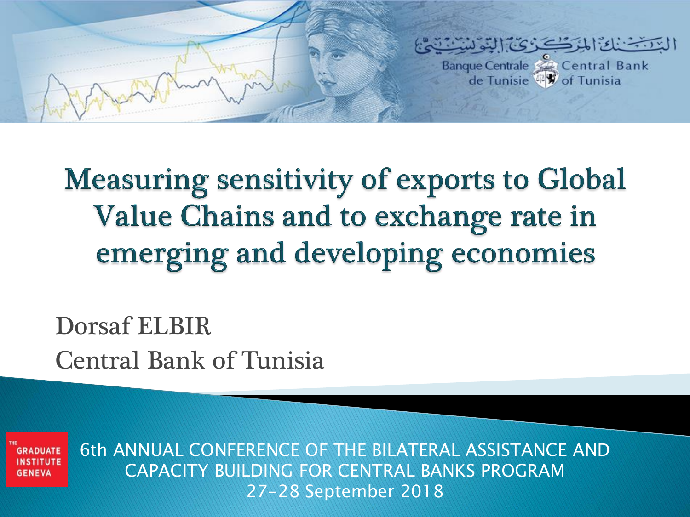

**Measuring sensitivity of exports to Global** Value Chains and to exchange rate in emerging and developing economies

Dorsaf ELBIR Central Bank of Tunisia

**GRADUATI GENEVA** 

6th ANNUAL CONFERENCE OF THE BILATERAL ASSISTANCE AND CAPACITY BUILDING FOR CENTRAL BANKS PROGRAM 27-28 September 2018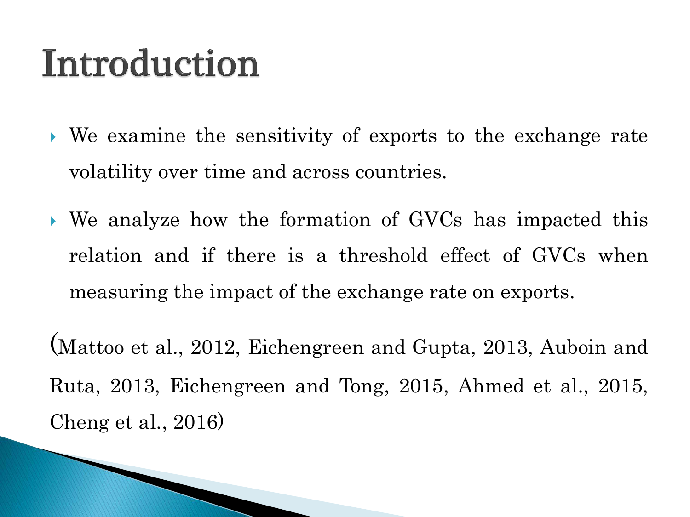### Introduction

**The Common Street, Inc.** 

- We examine the sensitivity of exports to the exchange rate volatility over time and across countries.
- We analyze how the formation of GVCs has impacted this relation and if there is a threshold effect of GVCs when measuring the impact of the exchange rate on exports.

(Mattoo et al., 2012, Eichengreen and Gupta, 2013, Auboin and Ruta, 2013, Eichengreen and Tong, 2015, Ahmed et al., 2015, Cheng et al., 2016)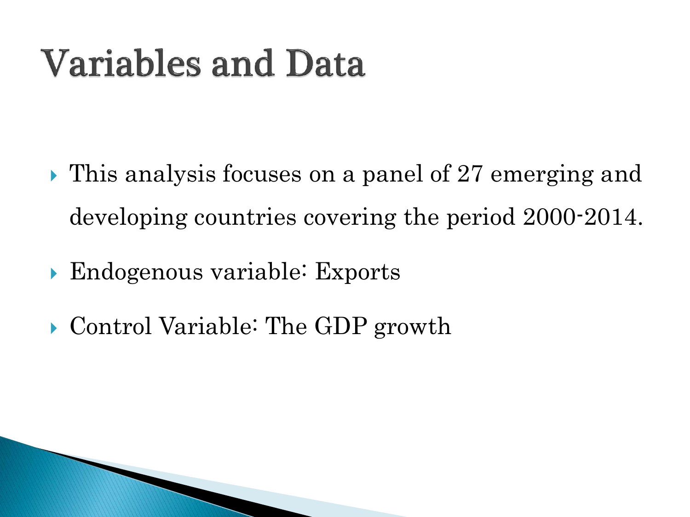# **Variables and Data**

- **This analysis focuses on a panel of 27 emerging and** developing countries covering the period 2000-2014.
- Endogenous variable: Exports
- ▶ Control Variable: The GDP growth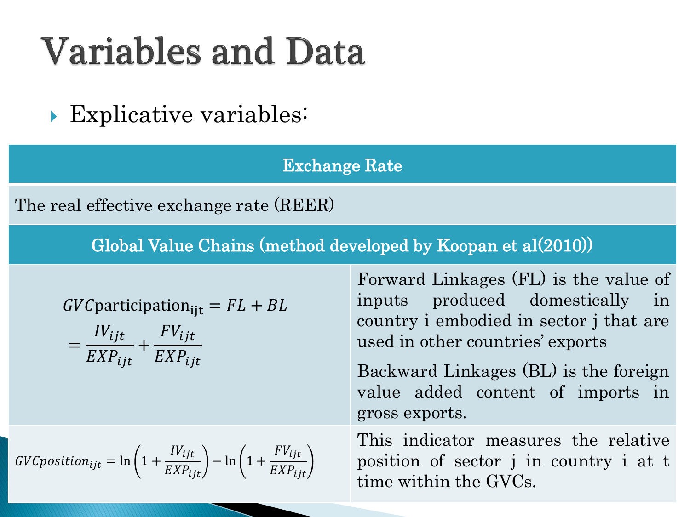## **Variables and Data**

**Explicative variables:** 

#### Exchange Rate

The real effective exchange rate (REER)

Global Value Chains (method developed by Koopan et al(2010))

$$
GVC
$$
participation<sub>ijt</sub> =  $FL + BL$ 

$$
= \frac{IV_{ijt}}{EXP_{ijt}} + \frac{FV_{ijt}}{EXP_{ijt}}
$$

$$
GVC position_{ijt} = \ln\left(1 + \frac{IV_{ijt}}{EXP_{ijt}}\right) - \ln\left(1 + \frac{FV_{ijt}}{EXP_{ijt}}\right)
$$

Forward Linkages (FL) is the value of inputs produced domestically in country i embodied in sector j that are used in other countries' exports

Backward Linkages (BL) is the foreign value added content of imports in gross exports.

This indicator measures the relative position of sector j in country i at t time within the GVCs.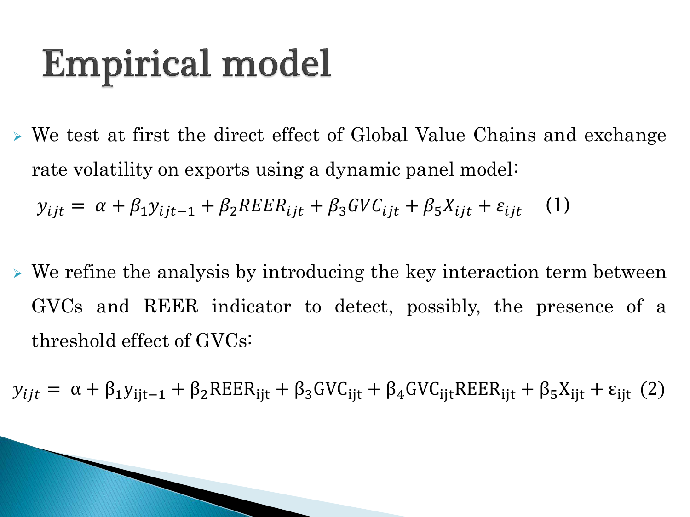# **Empirical model**

- We test at first the direct effect of Global Value Chains and exchange rate volatility on exports using a dynamic panel model:  $y_{ijt} = \alpha + \beta_1 y_{ijt-1} + \beta_2 R E E R_{ijt} + \beta_3 G V C_{ijt} + \beta_5 X_{ijt} + \varepsilon_{ijt}$  (1)
- $\triangleright$  We refine the analysis by introducing the key interaction term between GVCs and REER indicator to detect, possibly, the presence of a threshold effect of GVCs:

 $y_{ijt} = \alpha + \beta_1 y_{ijt-1} + \beta_2 R E E R_{ijt} + \beta_3 G V C_{ijt} + \beta_4 G V C_{ijt} R E E R_{ijt} + \beta_5 X_{ijt} + \varepsilon_{ijt}$  (2)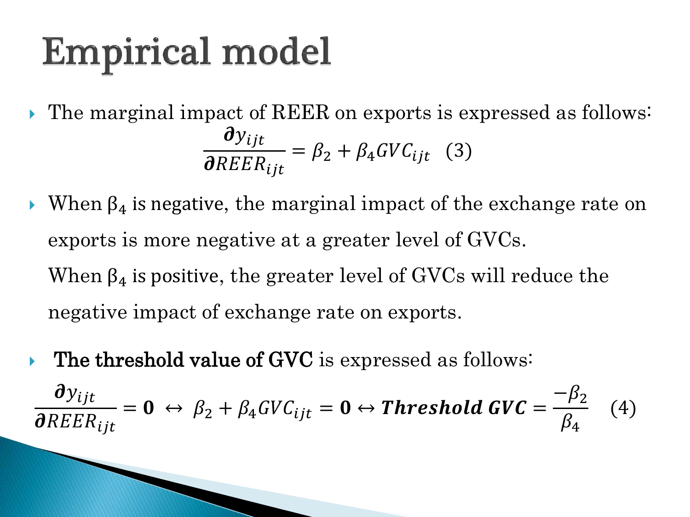# **Empirical model**

- The marginal impact of REER on exports is expressed as follows:  $\boldsymbol{\sigma}$ y $_{ijt}$  $\boldsymbol{\mathit{g}}$ REER $_{ijt}$  $= \beta_2 + \beta_4 G V C_{ijt}$  (3)
- When  $\beta_4$  is negative, the marginal impact of the exchange rate on exports is more negative at a greater level of GVCs. When  $\beta_4$  is positive, the greater level of GVCs will reduce the negative impact of exchange rate on exports.
- $\triangleright$  The threshold value of GVC is expressed as follows:  $\boldsymbol{\theta}$ y<sub>ijt</sub>  $\boldsymbol{\mathit{g}}$ REE $R_{ijt}$  $\mathbf{p} = \mathbf{0} \leftrightarrow \beta_2 + \beta_4 G V C_{ijt} = \mathbf{0} \leftrightarrow \textit{Threshold GVC} = \frac{1}{2}$  $-\beta_2$  $\beta_4$ (4)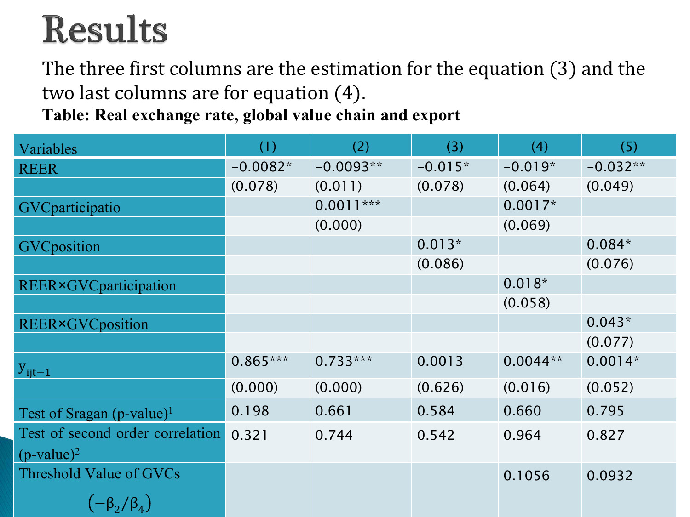# **Results**

The three first columns are the estimation for the equation (3) and the two last columns are for equation (4).

**Table: Real exchange rate, global value chain and export**

| Variables                                | (1)        | (2)         | (3)       | (4)        | (5)        |
|------------------------------------------|------------|-------------|-----------|------------|------------|
| <b>REER</b>                              | $-0.0082*$ | $-0.0093**$ | $-0.015*$ | $-0.019*$  | $-0.032**$ |
|                                          | (0.078)    | (0.011)     | (0.078)   | (0.064)    | (0.049)    |
| GVCparticipatio                          |            | $0.0011***$ |           | $0.0017*$  |            |
|                                          |            | (0.000)     |           | (0.069)    |            |
| <b>GVC</b> position                      |            |             | $0.013*$  |            | $0.084*$   |
|                                          |            |             | (0.086)   |            | (0.076)    |
| REER×GVCparticipation                    |            |             |           | $0.018*$   |            |
|                                          |            |             |           | (0.058)    |            |
| <b>REER</b> ×GVCposition                 |            |             |           |            | $0.043*$   |
|                                          |            |             |           |            | (0.077)    |
| $y_{ijt-1}$                              | $0.865***$ | $0.733***$  | 0.0013    | $0.0044**$ | $0.0014*$  |
|                                          | (0.000)    | (0.000)     | (0.626)   | (0.016)    | (0.052)    |
| Test of Sragan $(p$ -value) <sup>1</sup> | 0.198      | 0.661       | 0.584     | 0.660      | 0.795      |
| Test of second order correlation         | 0.321      | 0.744       | 0.542     | 0.964      | 0.827      |
| $(p$ -value) <sup>2</sup>                |            |             |           |            |            |
| Threshold Value of GVCs                  |            |             |           | 0.1056     | 0.0932     |
| $\left(-\beta_2/\beta_4\right)$          |            |             |           |            |            |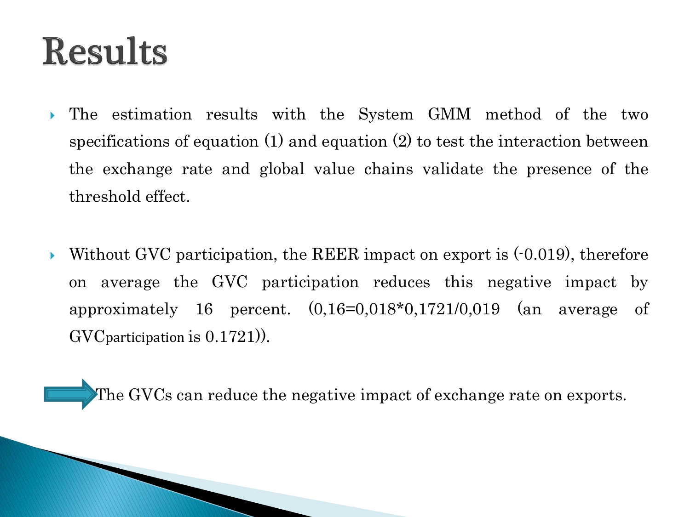### **Results**

- The estimation results with the System GMM method of the two specifications of equation (1) and equation (2) to test the interaction between the exchange rate and global value chains validate the presence of the threshold effect.
- Without GVC participation, the REER impact on export is  $(-0.019)$ , therefore on average the GVC participation reduces this negative impact by approximately 16 percent.  $(0.16=0.018*0.1721/0.019$  (an average of GVCparticipation is 0.1721)).

The GVCs can reduce the negative impact of exchange rate on exports.